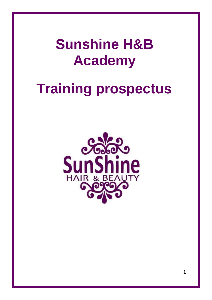**Sunshine H&B Academy**

# **Training prospectus**

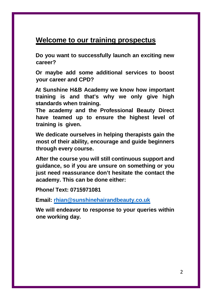# **Welcome to our training prospectus**

**Do you want to successfully launch an exciting new career?**

**Or maybe add some additional services to boost your career and CPD?**

**At Sunshine H&B Academy we know how important training is and that's why we only give high standards when training.**

**The academy and the Professional Beauty Direct have teamed up to ensure the highest level of training is given.**

**We dedicate ourselves in helping therapists gain the most of their ability, encourage and guide beginners through every course.**

**After the course you will still continuous support and guidance, so if you are unsure on something or you just need reassurance don't hesitate the contact the academy. This can be done either:**

**Phone/ Text: 0715971081**

**Email: rhian@sunshinehairandbeauty.co.uk**

**We will endeavor to response to your queries within one working day.**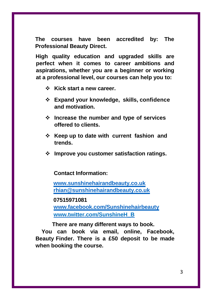**The courses have been accredited by: The Professional Beauty Direct.**

**High quality education and upgraded skills are perfect when it comes to career ambitions and aspirations, whether you are a beginner or working at a professional level, our courses can help you to:**

- **Kick start a new career.**
- **Expand your knowledge, skills, confidence and motivation.**
- **Increase the number and type of services offered to clients.**
- **EXA** Keep up to date with current fashion and **trends.**
- **Improve you customer satisfaction ratings.**

**Contact Information:**

**www.sunshinehairandbeauty.co.uk rhian@sunshinehairandbeauty.co.uk**

**07515971081**

**www.facebook.com/Sunshinehairbeauty www.twitter.com/SunshineH\_B**

**There are many different ways to book.**

**You can book via email, online, Facebook, Beauty Finder. There is a £50 deposit to be made when booking the course.**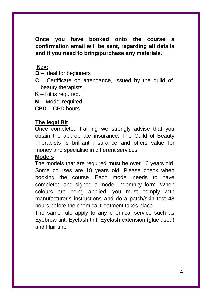**Once you have booked onto the course a confirmation email will be sent, regarding all details and if you need to bring/purchase any materials.**

# **Key:**

**B** – Ideal for beginners

**C** – Certificate on attendance, issued by the guild of beauty therapists.

**K** – Kit is required.

**M** – Model required

**CPD** – CPD hours

#### **The legal Bit**

Once completed training we strongly advise that you obtain the appropriate insurance. The Guild of Beauty Therapists is brilliant insurance and offers value for money and specialise in different services.

#### **Models**

The models that are required must be over 16 years old. Some courses are 18 years old. Please check when booking the course. Each model needs to have completed and signed a model indemnity form. When colours are being applied, you must comply with manufacturer's instructions and do a patch/skin test 48 hours before the chemical treatment takes place.

The same rule apply to any chemical service such as Eyebrow tint, Eyelash tint, Eyelash extension (glue used) and Hair tint.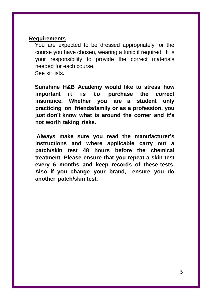#### **Requirements**

You are expected to be dressed appropriately for the course you have chosen, wearing a tunic if required. It is your responsibility to provide the correct materials needed for each course. See kit lists.

**Sunshine H&B Academy would like to stress how important** it is to purchase the correct **insurance. Whether you are a student only practicing on friends/family or as a profession, you just don't know what is around the corner and it's not worth taking risks.**

**Always make sure you read the manufacturer's instructions and where applicable carry out a patch/skin test 48 hours before the chemical treatment. Please ensure that you repeat a skin test every 6 months and keep records of these tests. Also if you change your brand, ensure you do another patch/skin test.**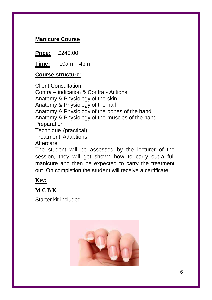## **Manicure Course**

**Price:** £240.00

**Time:** 10am – 4pm

#### **Course structure:**

Client Consultation Contra – indication & Contra - Actions Anatomy & Physiology of the skin Anatomy & Physiology of the nail Anatomy & Physiology of the bones of the hand Anatomy & Physiology of the muscles of the hand **Preparation** Technique (practical) Treatment Adaptions Aftercare The student will be assessed by the lecturer of the session, they will get shown how to carry out a full manicure and then be expected to carry the treatment out. On completion the student will receive a certificate.

#### **Key:**

**M C B K**

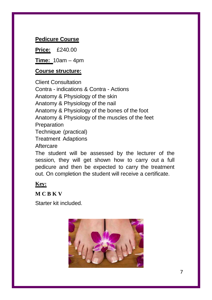# **Pedicure Course**

**Price:** £240.00

**Time:** 10am – 4pm

# **Course structure:**

Client Consultation Contra - indications & Contra - Actions Anatomy & Physiology of the skin Anatomy & Physiology of the nail Anatomy & Physiology of the bones of the foot Anatomy & Physiology of the muscles of the feet **Preparation** Technique (practical) Treatment Adaptions Aftercare The student will be assessed by the lecturer of the session, they will get shown how to carry out a full pedicure and then be expected to carry the treatment

out. On completion the student will receive a certificate. **Key:**

**M C B K V**

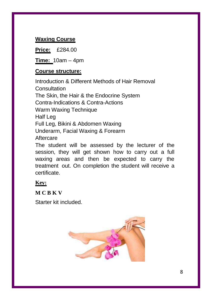# **Waxing Course**

**Price:** £284.00

**Time:** 10am – 4pm

## **Course structure:**

Introduction & Different Methods of Hair Removal **Consultation** The Skin, the Hair & the Endocrine System Contra-Indications & Contra-Actions Warm Waxing Technique Half Leg Full Leg, Bikini & Abdomen Waxing Underarm, Facial Waxing & Forearm Aftercare The student will be assessed by the lecturer of the session, they will get shown how to carry out a full

waxing areas and then be expected to carry the treatment out. On completion the student will receive a certificate.

# **Key:**

**M C B K V**

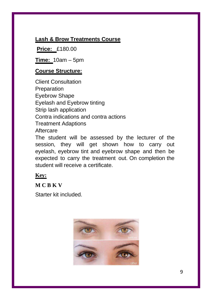## **Lash & Brow Treatments Course**

**Price:** £180.00

**Time:** 10am – 5pm

## **Course Structure:**

Client Consultation **Preparation** Eyebrow Shape Eyelash and Eyebrow tinting Strip lash application Contra indications and contra actions Treatment Adaptions **Aftercare** The student will be assessed by the lecturer of the

session, they will get shown how to carry out eyelash, eyebrow tint and eyebrow shape and then be expected to carry the treatment out. On completion the student will receive a certificate.

## **Key:**

#### **M C B K V**

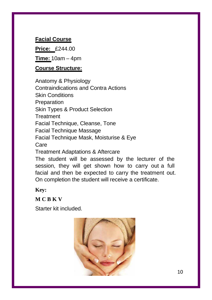## **Facial Course**

**Price:** £244.00

**Time:** 10am – 4pm

#### **Course Structure:**

Anatomy & Physiology Contraindications and Contra Actions Skin Conditions **Preparation** Skin Types & Product Selection **Treatment** Facial Technique, Cleanse, Tone Facial Technique Massage Facial Technique Mask, Moisturise & Eye Care Treatment Adaptations & Aftercare The student will be assessed by the lecturer of the session, they will get shown how to carry out a full facial and then be expected to carry the treatment out.

On completion the student will receive a certificate.

**Key:**

**M C B K V**

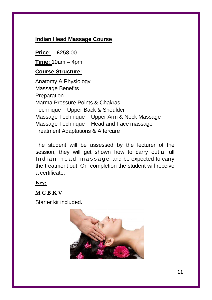# **Indian Head Massage Course**

**Price:** £258.00

**Time:** 10am – 4pm

#### **Course Structure:**

Anatomy & Physiology Massage Benefits **Preparation** Marma Pressure Points & Chakras Technique – Upper Back & Shoulder Massage Technique – Upper Arm & Neck Massage Massage Technique – Head and Face massage Treatment Adaptations & Aftercare

The student will be assessed by the lecturer of the session, they will get shown how to carry out a full Indian head massage and be expected to carry the treatment out. On completion the student will receive a certificate.

#### **Key:**

**M C B K V**

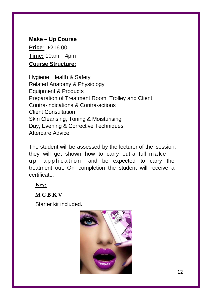**Make – Up Course Price:** £216.00 **Time:** 10am – 4pm **Course Structure:**

Hygiene, Health & Safety Related Anatomy & Physiology Equipment & Products Preparation of Treatment Room, Trolley and Client Contra-indications & Contra-actions Client Consultation Skin Cleansing, Toning & Moisturising Day, Evening & Corrective Techniques Aftercare Advice

The student will be assessed by the lecturer of the session, they will get shown how to carry out a full make  $$ up application and be expected to carry the treatment out. On completion the student will receive a certificate.

#### **Key:**

**M C B K V**

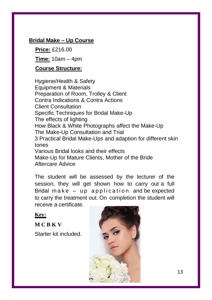## **Bridal Make – Up Course**

**Price:** £216.00

**Time:** 10am – 4pm

## **Course Structure:**

Hygiene/Health & Safety Equipment & Materials Preparation of Room, Trolley & Client Contra Indications & Contra Actions Client Consultation Specific Techniques for Bridal Make-Up The effects of lighting How Black & White Photographs affect the Make-Up The Make-Up Consultation and Trial 3 Practical Bridal Make-Ups and adaption for different skin tones Various Bridal looks and their effects Make-Up for Mature Clients, Mother of the Bride Aftercare Advice

The student will be assessed by the lecturer of the session, they will get shown how to carry out a full Bridal make  $-$  up application and be expected to carry the treatment out. On completion the student will receive a certificate.

**Key:**

**M C B K V** Starter kit included.

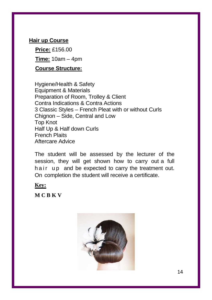## **Hair up Course**

**Price:** £156.00 **Time:** 10am – 4pm

# **Course Structure:**

Hygiene/Health & Safety Equipment & Materials Preparation of Room, Trolley & Client Contra Indications & Contra Actions 3 Classic Styles – French Pleat with or without Curls Chignon – Side, Central and Low Top Knot Half Up & Half down Curls French Plaits Aftercare Advice

The student will be assessed by the lecturer of the session, they will get shown how to carry out a full hair up and be expected to carry the treatment out. On completion the student will receive a certificate.

#### **Key:**

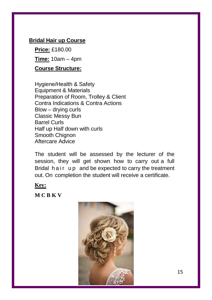### **Bridal Hair up Course**

**Price:** £180.00 **Time:** 10am – 4pm

# **Course Structure:**

Hygiene/Health & Safety Equipment & Materials Preparation of Room, Trolley & Client Contra Indications & Contra Actions Blow – drying curls Classic Messy Bun Barrel Curls Half up Half down with curls Smooth Chignon Aftercare Advice

The student will be assessed by the lecturer of the session, they will get shown how to carry out a full Bridal hair up and be expected to carry the treatment out. On completion the student will receive a certificate.

#### **Key:**

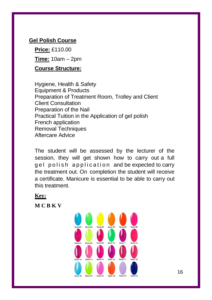# **Gel Polish Course**

**Price:** £110.00 **Time:** 10am – 2pm **Course Structure:**

Hygiene, Health & Safety Equipment & Products Preparation of Treatment Room, Trolley and Client Client Consultation Preparation of the Nail Practical Tuition in the Application of gel polish French application Removal Techniques Aftercare Advice

The student will be assessed by the lecturer of the session, they will get shown how to carry out a full gel polish application and be expected to carry the treatment out. On completion the student will receive a certificate. Manicure is essential to be able to carry out this treatment.

**Key:**

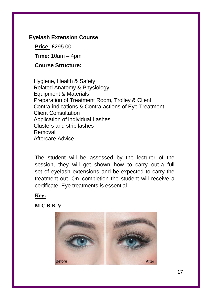#### **Eyelash Extension Course**

**Price:** £295.00 **Time:** 10am – 4pm

#### **Course Structure:**

Hygiene, Health & Safety Related Anatomy & Physiology Equipment & Materials Preparation of Treatment Room, Trolley & Client Contra-indications & Contra-actions of Eye Treatment Client Consultation Application of individual Lashes Clusters and strip lashes Removal Aftercare Advice

The student will be assessed by the lecturer of the session, they will get shown how to carry out a full set of eyelash extensions and be expected to carry the treatment out. On completion the student will receive a certificate. Eye treatments is essential

#### **Key:**

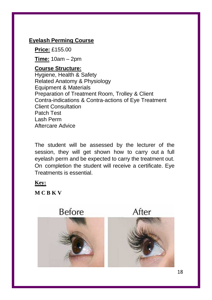#### **Eyelash Perming Course**

**Price:** £155.00

**Time:** 10am – 2pm

#### **Course Structure:** Hygiene, Health & Safety Related Anatomy & Physiology Equipment & Materials Preparation of Treatment Room, Trolley & Client Contra-indications & Contra-actions of Eye Treatment Client Consultation Patch Test Lash Perm Aftercare Advice

The student will be assessed by the lecturer of the session, they will get shown how to carry out a full eyelash perm and be expected to carry the treatment out. On completion the student will receive a certificate. Eye Treatments is essential.

#### **Key:**

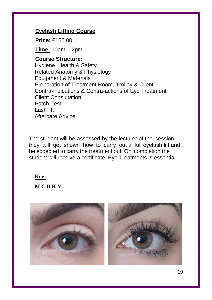### **Eyelash Lifting Course**

**Price:** £150.00

**Time:** 10am – 2pm

#### **Course Structure:**

Hygiene, Health & Safety Related Anatomy & Physiology Equipment & Materials Preparation of Treatment Room, Trolley & Client Contra-indications & Contra-actions of Eye Treatment Client Consultation Patch Test Lash lift Aftercare Advice

The student will be assessed by the lecturer of the session, they will get shown how to carry out a full eyelash lift and be expected to carry the treatment out. On completion the student will receive a certificate. Eye Treatments is essential

#### **Key:**

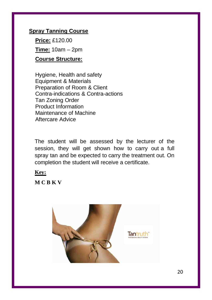## **Spray Tanning Course**

**Price:** £120.00 **Time:** 10am – 2pm

# **Course Structure:**

Hygiene, Health and safety Equipment & Materials Preparation of Room & Client Contra-indications & Contra-actions Tan Zoning Order Product Information Maintenance of Machine Aftercare Advice

The student will be assessed by the lecturer of the session, they will get shown how to carry out a full spray tan and be expected to carry the treatment out. On completion the student will receive a certificate.

#### **Key:**

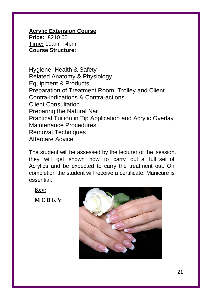**Acrylic Extension Course Price:** £210.00 **Time:** 10am – 4pm **Course Structure:**

Hygiene, Health & Safety Related Anatomy & Physiology Equipment & Products Preparation of Treatment Room, Trolley and Client Contra-indications & Contra-actions Client Consultation Preparing the Natural Nail Practical Tuition in Tip Application and Acrylic Overlay Maintenance Procedures Removal Techniques Aftercare Advice

The student will be assessed by the lecturer of the session, they will get shown how to carry out a full set of Acrylics and be expected to carry the treatment out. On completion the student will receive a certificate. Manicure is essential.

**Key:**

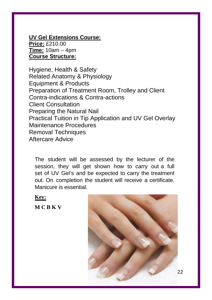**UV Gel Extensions Course: Price:** £210.00 **Time:** 10am – 4pm **Course Structure:**

Hygiene, Health & Safety Related Anatomy & Physiology Equipment & Products Preparation of Treatment Room, Trolley and Client Contra-indications & Contra-actions Client Consultation Preparing the Natural Nail Practical Tuition in Tip Application and UV Gel Overlay Maintenance Procedures Removal Techniques Aftercare Advice

The student will be assessed by the lecturer of the session, they will get shown how to carry out a full set of UV Gel's and be expected to carry the treatment out. On completion the student will receive a certificate. Manicure is essential.

**Key:**

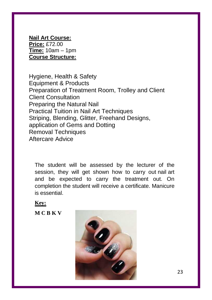**Nail Art Course: Price:** £72.00 **Time:** 10am – 1pm **Course Structure:**

Hygiene, Health & Safety Equipment & Products Preparation of Treatment Room, Trolley and Client Client Consultation Preparing the Natural Nail Practical Tuition in Nail Art Techniques Striping, Blending, Glitter, Freehand Designs, application of Gems and Dotting Removal Techniques Aftercare Advice

The student will be assessed by the lecturer of the session, they will get shown how to carry out nail art and be expected to carry the treatment out. On completion the student will receive a certificate. Manicure is essential.

**Key:**

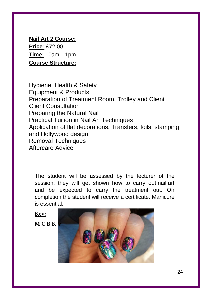**Nail Art 2 Course: Price:** £72.00 **Time:** 10am – 1pm **Course Structure:**

Hygiene, Health & Safety Equipment & Products Preparation of Treatment Room, Trolley and Client Client Consultation Preparing the Natural Nail Practical Tuition in Nail Art Techniques Application of flat decorations, Transfers, foils, stamping and Hollywood design. Removal Techniques Aftercare Advice

The student will be assessed by the lecturer of the session, they will get shown how to carry out nail art and be expected to carry the treatment out. On completion the student will receive a certificate. Manicure is essential.

**Key:**

**M C B K** 

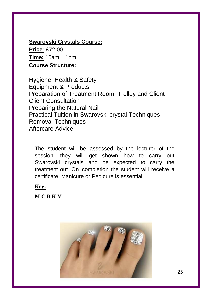# **Swarovski Crystals Course:**

**Price:** £72.00 **Time:** 10am – 1pm **Course Structure:**

Hygiene, Health & Safety Equipment & Products Preparation of Treatment Room, Trolley and Client Client Consultation Preparing the Natural Nail Practical Tuition in Swarovski crystal Techniques Removal Techniques Aftercare Advice

The student will be assessed by the lecturer of the session, they will get shown how to carry out Swarovski crystals and be expected to carry the treatment out. On completion the student will receive a certificate. Manicure or Pedicure is essential.

**Key:**

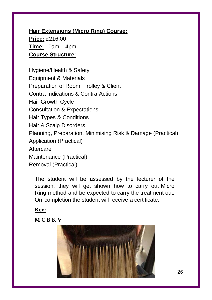**Hair Extensions (Micro Ring) Course: Price:** £216.00 **Time:** 10am – 4pm **Course Structure:**

Hygiene/Health & Safety Equipment & Materials Preparation of Room, Trolley & Client Contra Indications & Contra-Actions Hair Growth Cycle Consultation & Expectations Hair Types & Conditions Hair & Scalp Disorders Planning, Preparation, Minimising Risk & Damage (Practical) Application (Practical) **Aftercare** Maintenance (Practical) Removal (Practical)

The student will be assessed by the lecturer of the session, they will get shown how to carry out Micro Ring method and be expected to carry the treatment out. On completion the student will receive a certificate.

#### **Key:**

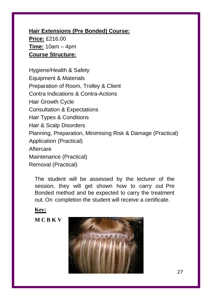**Hair Extensions (Pre Bonded) Course: Price:** £216.00 **Time:** 10am – 4pm **Course Structure:**

Hygiene/Health & Safety Equipment & Materials Preparation of Room, Trolley & Client Contra Indications & Contra-Actions Hair Growth Cycle Consultation & Expectations Hair Types & Conditions Hair & Scalp Disorders Planning, Preparation, Minimising Risk & Damage (Practical) Application (Practical) **Aftercare** Maintenance (Practical) Removal (Practical)

The student will be assessed by the lecturer of the session, they will get shown how to carry out Pre Bonded method and be expected to carry the treatment out. On completion the student will receive a certificate.

#### **Key:**

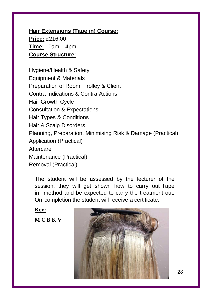**Hair Extensions (Tape in) Course: Price:** £216.00 **Time:** 10am – 4pm **Course Structure:**

Hygiene/Health & Safety Equipment & Materials Preparation of Room, Trolley & Client Contra Indications & Contra-Actions Hair Growth Cycle Consultation & Expectations Hair Types & Conditions Hair & Scalp Disorders Planning, Preparation, Minimising Risk & Damage (Practical) Application (Practical) **Aftercare** Maintenance (Practical) Removal (Practical)

The student will be assessed by the lecturer of the session, they will get shown how to carry out Tape in method and be expected to carry the treatment out. On completion the student will receive a certificate.

**Key: M C B K V**

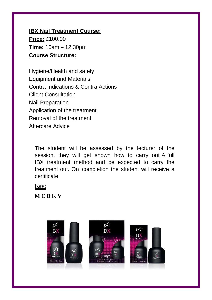**IBX Nail Treatment Course: Price:** £100.00 **Time:** 10am – 12.30pm **Course Structure:**

Hygiene/Health and safety Equipment and Materials Contra Indications & Contra Actions Client Consultation Nail Preparation Application of the treatment Removal of the treatment Aftercare Advice

The student will be assessed by the lecturer of the session, they will get shown how to carry out A full IBX treatment method and be expected to carry the treatment out. On completion the student will receive a certificate.

#### **Key:**

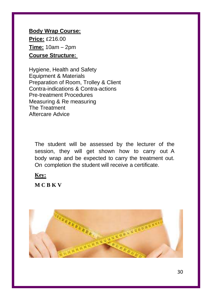**Body Wrap Course: Price:** £216.00 **Time:** 10am – 2pm **Course Structure:**

Hygiene, Health and Safety Equipment & Materials Preparation of Room, Trolley & Client Contra-indications & Contra-actions Pre-treatment Procedures Measuring & Re measuring The Treatment Aftercare Advice

The student will be assessed by the lecturer of the session, they will get shown how to carry out A body wrap and be expected to carry the treatment out. On completion the student will receive a certificate.

**Key:**

**M C B K V**



30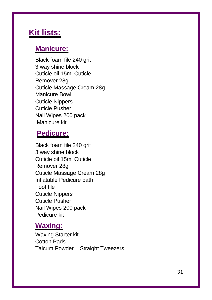# **Kit lists:**

# **Manicure:**

Black foam file 240 grit 3 way shine block Cuticle oil 15ml Cuticle Remover 28g Cuticle Massage Cream 28g Manicure Bowl Cuticle Nippers Cuticle Pusher Nail Wipes 200 pack Manicure kit

# **Pedicure:**

Black foam file 240 grit 3 way shine block Cuticle oil 15ml Cuticle Remover 28g Cuticle Massage Cream 28g Inflatable Pedicure bath Foot file Cuticle Nippers Cuticle Pusher Nail Wipes 200 pack Pedicure kit

# **Waxing:**

Waxing Starter kit Cotton Pads Talcum Powder Straight Tweezers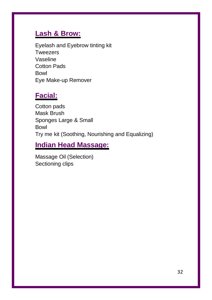# **Lash & Brow:**

Eyelash and Eyebrow tinting kit **Tweezers** Vaseline Cotton Pads Bowl Eye Make-up Remover

# **Facial:**

Cotton pads Mask Brush Sponges Large & Small Bowl Try me kit (Soothing, Nourishing and Equalizing)

# **Indian Head Massage:**

Massage Oil (Selection) Sectioning clips